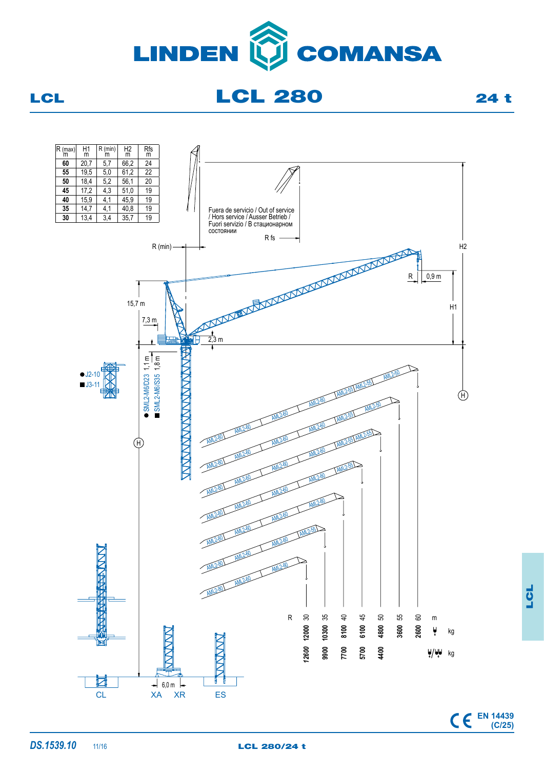

LCL 280 24 t



**EN 14439 (C/25)**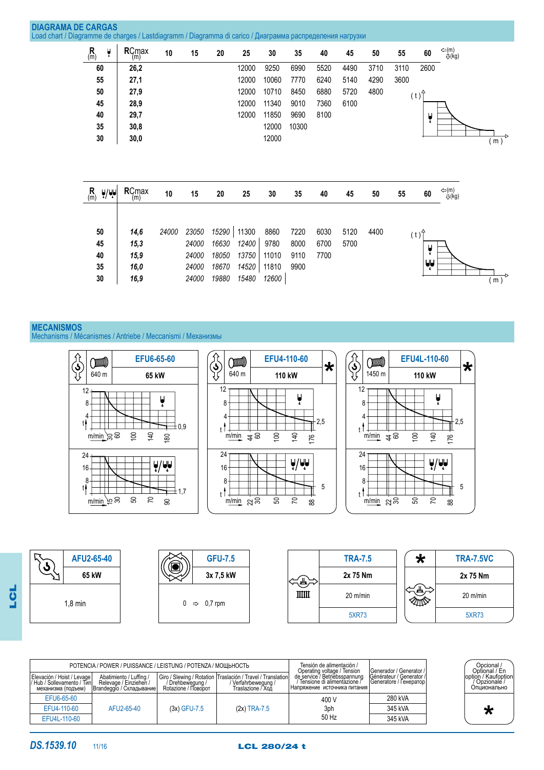| $\mathsf{R}_{\mathsf{(m)}}$ | Å | $RC_{(m)}^{max}$                                     | 10           | 15                               | 20                               | 25                               | 30                             | 35                           | 40                   | 45           | 50   | 55                                                                                                        | 60              |                                |                 |
|-----------------------------|---|------------------------------------------------------|--------------|----------------------------------|----------------------------------|----------------------------------|--------------------------------|------------------------------|----------------------|--------------|------|-----------------------------------------------------------------------------------------------------------|-----------------|--------------------------------|-----------------|
| 60                          |   | 26,2                                                 |              |                                  |                                  | 12000                            | 9250                           | 6990                         | 5520                 | 4490         | 3710 | 3110                                                                                                      | 2600            |                                |                 |
| 55                          |   | 27,1                                                 |              |                                  |                                  | 12000                            | 10060                          | 7770                         | 6240                 | 5140         | 4290 | 3600                                                                                                      |                 |                                |                 |
| 50                          |   | 27,9                                                 |              |                                  |                                  | 12000                            | 10710                          | 8450                         | 6880                 | 5720         | 4800 |                                                                                                           |                 |                                |                 |
| 45                          |   | 28,9                                                 |              |                                  |                                  | 12000                            | 11340                          | 9010                         | 7360                 | 6100         |      |                                                                                                           |                 |                                |                 |
| 40                          |   | 29,7                                                 |              |                                  |                                  | 12000                            | 11850                          | 9690                         | 8100                 |              |      |                                                                                                           |                 |                                |                 |
| 35                          |   | 30,8                                                 |              |                                  |                                  |                                  | 12000                          | 10300                        |                      |              |      |                                                                                                           |                 |                                |                 |
| 30                          |   |                                                      |              |                                  |                                  |                                  |                                |                              |                      |              |      |                                                                                                           |                 |                                | (m)             |
| $\mathsf{R}_{\mathsf{(m)}}$ |   | <b>RCmax</b><br>(m)                                  | 10           | 15                               | 20                               | 25                               | 30                             | 35                           | 40                   | 45           | 50   | 55                                                                                                        | 60              | $\Leftrightarrow$ (m)<br>U(kg) |                 |
| 50<br>45<br>40<br>35        |   | 14,6<br>15,3<br>15,9<br>16,0                         | 24000        | 23050<br>24000<br>24000<br>24000 | 15290<br>16630<br>18050<br>18670 | 11300<br>12400<br>13750<br>14520 | 8860<br>9780<br>11010<br>11810 | 7220<br>8000<br>9110<br>9900 | 6030<br>6700<br>7700 | 5120<br>5700 | 4400 |                                                                                                           | U<br>ī<br>لمإيا |                                | $\frac{1}{(m)}$ |
|                             |   | <b>DIAGRAMA DE CARGAS</b><br>$\frac{1}{2}$ /UU<br>30 | 30,0<br>16,9 |                                  | 24000                            | 19880                            | 15480                          | 12000<br>12600               |                      |              |      | Load chart / Diagramme de charges / Lastdiagramm / Diagramma di carico / Диаграмма распределения нагрузки |                 | (t)<br>Ų<br>(t)                | ⇔(m)<br>-Q(kg)  |

# **MECANISMOS**

Mechanisms / Mécanismes / Antriebe / Meccanismi / Механизмы





|                                                  | POTENCIA / POWER / PUISSANCE / LEISTUNG / POTENZA / МОЩЬНОСТЬ<br>Abatimiento / Luffing / | Giro / Slewing / Rotation   Traslación / Travel / Translation | Tensión de alimentación /<br>Operating voltage / Tension<br>de service / Betriebsspannung | Generador / Generator /<br>Générateur / Generator /             | Opcional /<br>Optional / En<br>loption / Kaufoption |                          |
|--------------------------------------------------|------------------------------------------------------------------------------------------|---------------------------------------------------------------|-------------------------------------------------------------------------------------------|-----------------------------------------------------------------|-----------------------------------------------------|--------------------------|
| Elevación / Hoist / Levage<br>механизма (подъем) | Relevage / Einziehen /<br>Brandeggio / Складывание                                       | / Drehbeweauna /<br>Rotazione / Поворот                       | Verfahrbewegung /<br>Traslazione / Хой                                                    | ′ Tensione di alimentazione / ̇<br>Напряжение источника питания | Generatore / Генератор                              | Opzionale<br>Опционально |
| EFU6-65-60                                       |                                                                                          |                                                               |                                                                                           | 400 V                                                           | 280 kVA                                             |                          |
| EFU4-110-60                                      | AFU2-65-40                                                                               | $(3x)$ GFU-7.5                                                | $(2x)$ TRA-7.5                                                                            | 3ph                                                             | 345 kVA                                             |                          |
| EFU4L-110-60                                     |                                                                                          |                                                               |                                                                                           | 50 Hz                                                           | 345 kVA                                             |                          |
|                                                  |                                                                                          |                                                               |                                                                                           |                                                                 |                                                     |                          |

LCL

**DS.1539.10** 11/16 **LCL 280/24 t** 

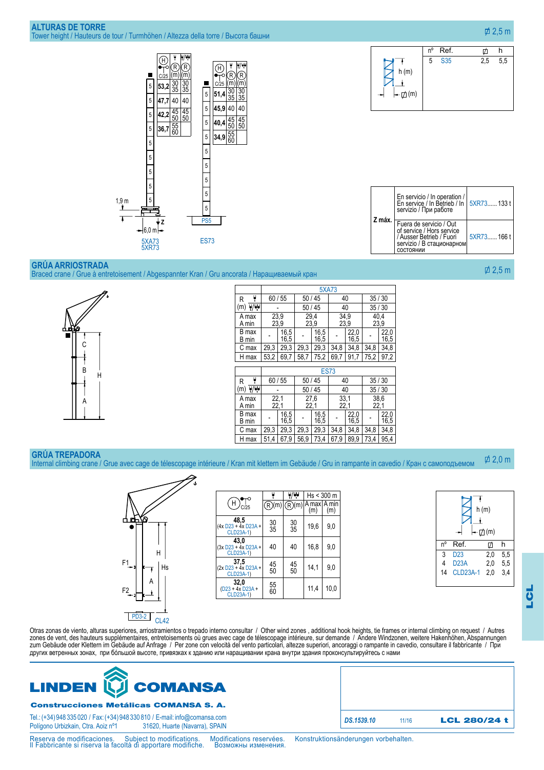



| Z máx. | En servicio / In operation /<br>En service / In Betrieb / In SXR73 133 t<br>servizio / При работе                          |            |  |  |
|--------|----------------------------------------------------------------------------------------------------------------------------|------------|--|--|
|        | Fuera de servicio / Out<br>of service / Hors service<br>/ Ausser Betrieb / Fuori<br>servizio / В стационарном<br>состоянии | 5XR73166 t |  |  |

### **Grúa arriostrada**

Braced crane / Grue à entretoisement / Abgespannter Kran / Gru ancorata / Наращиваемый кран



| 35/30<br>35/30 |  |
|----------------|--|
|                |  |
|                |  |
| 40.4<br>23,9   |  |
| 22,0<br>16,5   |  |
| 34,8           |  |
| 97,2           |  |
|                |  |
|                |  |
| 35/30          |  |
|                |  |
| 35/30          |  |
| 38,6<br>22,1   |  |
| 22,0<br>16,5   |  |
| 34,8           |  |
|                |  |

#### **Grúa trepadora**

Internal climbing crane / Grue avec cage de télescopage intérieure / Kran mit klettern im Gebäude / Gru in rampante in cavedio / Кран с самоподъемом  $\overline{\phi}$  2.0 m



|                                          |                 | 빛내              |                      | $Hs < 300$ m |  |  |
|------------------------------------------|-----------------|-----------------|----------------------|--------------|--|--|
| H<br>c/25                                | (m)             | )(m)            | IA maxl A min<br>(m) | (m)          |  |  |
| 48,5<br>(4x D23 + 4x D23A +<br>CLD23A-1) | $\frac{30}{35}$ | $\frac{30}{35}$ | 19,6                 | 9,0          |  |  |
| 43.0<br>(3x D23 + 4x D23A +<br>CLD23A-1) | 40              | 40              | 16,8                 | 9,0          |  |  |
| 37,5<br>(2x D23 + 4x D23A +<br>CLD23A-1) | 45<br>50        | 45<br>50        | 14,1                 | 9,0          |  |  |
| 32,0<br>(D23 + 4x D23A +<br>CLD23A-1)    | 55<br>60        |                 | 11,4                 | 10.0         |  |  |

|    | h(m)            |     |     |  |  |  |  |  |
|----|-----------------|-----|-----|--|--|--|--|--|
| nº | Ref.            | ☑   | h   |  |  |  |  |  |
| 3  | D <sub>23</sub> | 2,0 | 5,5 |  |  |  |  |  |
| 4  | <b>D23A</b>     | 2,0 | 5,5 |  |  |  |  |  |
| 14 | <b>CLD23A-1</b> | 2,0 | 3,4 |  |  |  |  |  |

Otras zonas de viento, alturas superiores, arriostramientos o trepado interno consultar / Other wind zones , additional hook heights, tie frames or internal climbing on request / Autres zones de vent, des hauteurs supplémentaires, entretoisements où grues avec cage de télescopage intérieure, sur demande / Andere Windzonen, weitere Hakenhöhen, Abspannungen zum Gebäude oder Klettern im Gebäude auf Anfrage / Per zone con velocità del vento particolari, altezze superiori, ancoraggi o rampante in cavedio, consultare il fabbricante / При других ветренных зонах, при бóльшой высоте, привязках к зданию или наращивании крана внутри здания проконсультируйтесь с нами



## Construcciones Metálicas COMANSA S. A.

Tel.: (+34) 948 335 020 / Fax: (+34) 948 330 810 / E-mail: info@comansa.com Polígono Urbizkain, Ctra. Aoiz nº1

Reserva de modificaciones. Subject to modifications. Modifications reservées. Konstruktionsänderungen vorbehalten.<br>Il Fabbricante si riserva la facoltà di apportare modifiche. Возможны изменения.

*DS.1539.10* 11/16 LCL 280/24 t

 $\overline{\phi}$  2.5 m

2,5 m

LCL